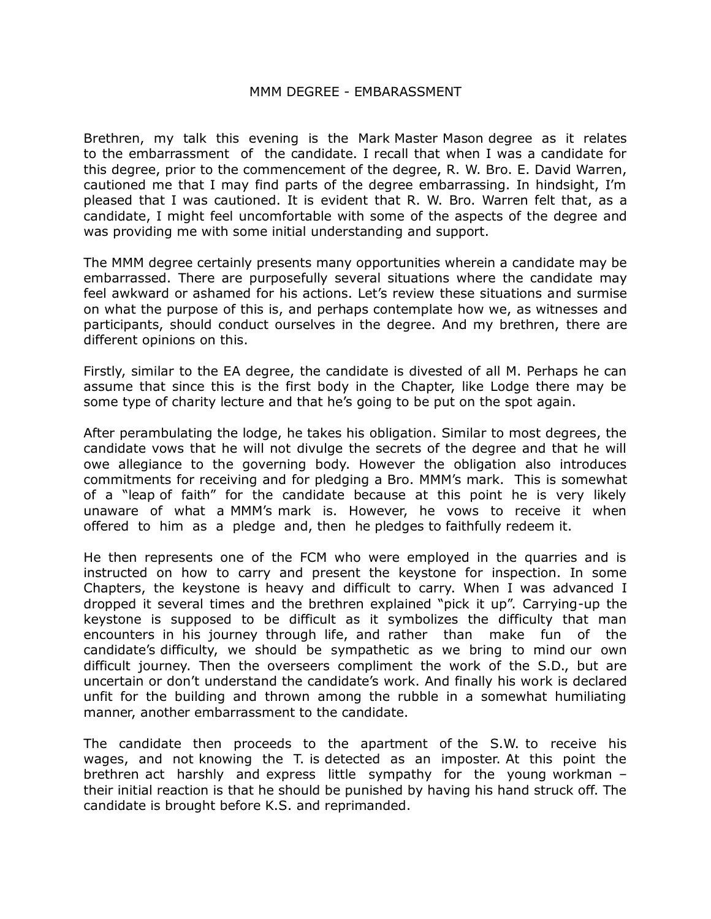## MMM DEGREE - EMBARASSMENT

Brethren, my talk this evening is the Mark Master Mason degree as it relates to the embarrassment of the candidate. I recall that when I was a candidate for this degree, prior to the commencement of the degree, R. W. Bro. E. David Warren, cautioned me that I may find parts of the degree embarrassing. In hindsight, I'm pleased that I was cautioned. It is evident that R. W. Bro. Warren felt that, as a candidate, I might feel uncomfortable with some of the aspects of the degree and was providing me with some initial understanding and support.

The MMM degree certainly presents many opportunities wherein a candidate may be embarrassed. There are purposefully several situations where the candidate may feel awkward or ashamed for his actions. Let's review these situations and surmise on what the purpose of this is, and perhaps contemplate how we, as witnesses and participants, should conduct ourselves in the degree. And my brethren, there are different opinions on this.

Firstly, similar to the EA degree, the candidate is divested of all M. Perhaps he can assume that since this is the first body in the Chapter, like Lodge there may be some type of charity lecture and that he's going to be put on the spot again.

After perambulating the lodge, he takes his obligation. Similar to most degrees, the candidate vows that he will not divulge the secrets of the degree and that he will owe allegiance to the governing body. However the obligation also introduces commitments for receiving and for pledging a Bro. MMM's mark. This is somewhat of a "leap of faith" for the candidate because at this point he is very likely unaware of what a MMM's mark is. However, he vows to receive it when offered to him as a pledge and, then he pledges to faithfully redeem it.

He then represents one of the FCM who were employed in the quarries and is instructed on how to carry and present the keystone for inspection. In some Chapters, the keystone is heavy and difficult to carry. When I was advanced I dropped it several times and the brethren explained "pick it up". Carrying-up the keystone is supposed to be difficult as it symbolizes the difficulty that man encounters in his journey through life, and rather than make fun of the candidate's difficulty, we should be sympathetic as we bring to mind our own difficult journey. Then the overseers compliment the work of the S.D., but are uncertain or don't understand the candidate's work. And finally his work is declared unfit for the building and thrown among the rubble in a somewhat humiliating manner, another embarrassment to the candidate.

The candidate then proceeds to the apartment of the S.W. to receive his wages, and not knowing the T. is detected as an imposter. At this point the brethren act harshly and express little sympathy for the young workman – their initial reaction is that he should be punished by having his hand struck off. The candidate is brought before K.S. and reprimanded.